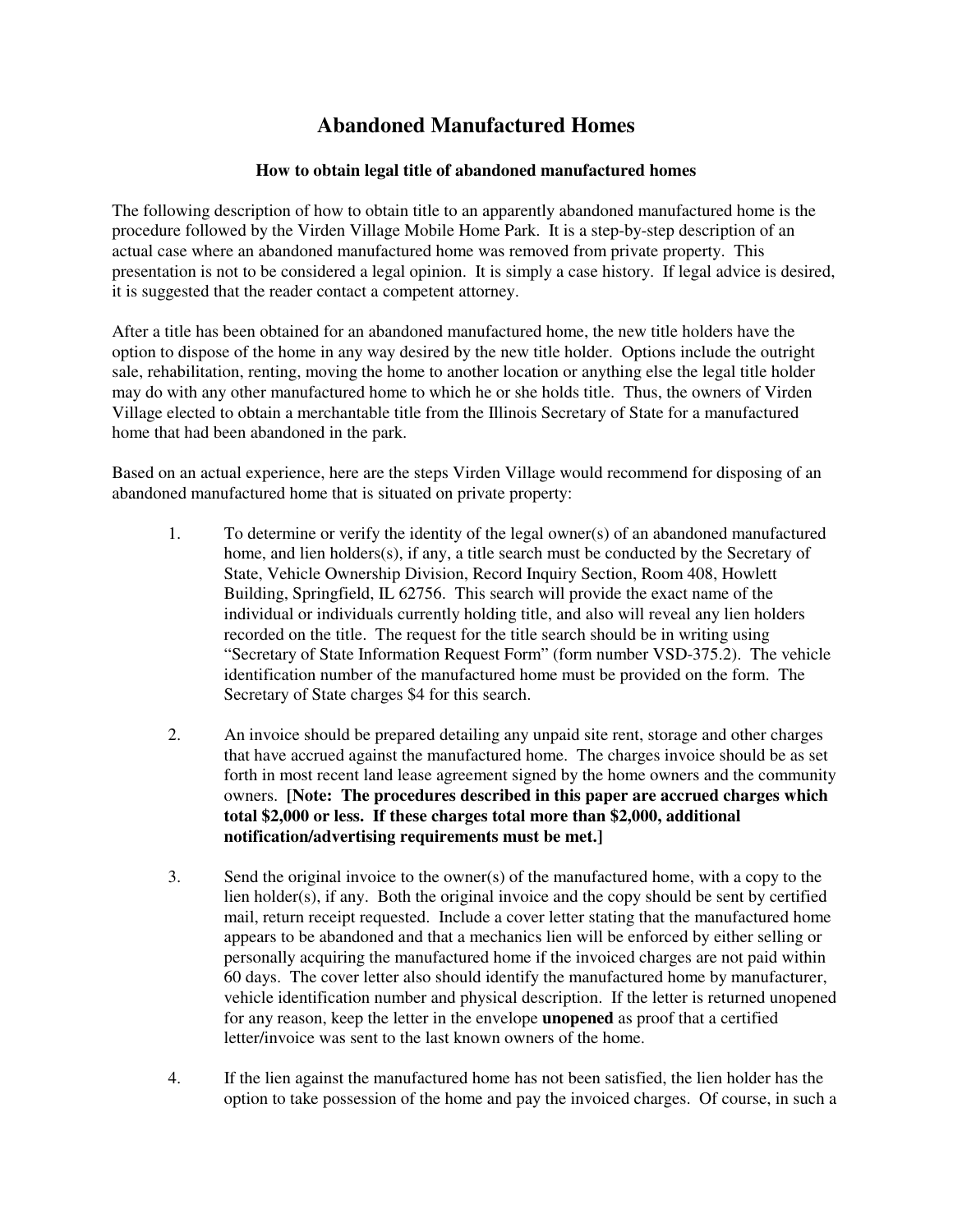## **Abandoned Manufactured Homes**

## **How to obtain legal title of abandoned manufactured homes**

The following description of how to obtain title to an apparently abandoned manufactured home is the procedure followed by the Virden Village Mobile Home Park. It is a step-by-step description of an actual case where an abandoned manufactured home was removed from private property. This presentation is not to be considered a legal opinion. It is simply a case history. If legal advice is desired, it is suggested that the reader contact a competent attorney.

After a title has been obtained for an abandoned manufactured home, the new title holders have the option to dispose of the home in any way desired by the new title holder. Options include the outright sale, rehabilitation, renting, moving the home to another location or anything else the legal title holder may do with any other manufactured home to which he or she holds title. Thus, the owners of Virden Village elected to obtain a merchantable title from the Illinois Secretary of State for a manufactured home that had been abandoned in the park.

Based on an actual experience, here are the steps Virden Village would recommend for disposing of an abandoned manufactured home that is situated on private property:

- 1. To determine or verify the identity of the legal owner(s) of an abandoned manufactured home, and lien holders(s), if any, a title search must be conducted by the Secretary of State, Vehicle Ownership Division, Record Inquiry Section, Room 408, Howlett Building, Springfield, IL 62756. This search will provide the exact name of the individual or individuals currently holding title, and also will reveal any lien holders recorded on the title. The request for the title search should be in writing using "Secretary of State Information Request Form" (form number VSD-375.2). The vehicle identification number of the manufactured home must be provided on the form. The Secretary of State charges \$4 for this search.
- 2. An invoice should be prepared detailing any unpaid site rent, storage and other charges that have accrued against the manufactured home. The charges invoice should be as set forth in most recent land lease agreement signed by the home owners and the community owners. **[Note: The procedures described in this paper are accrued charges which total \$2,000 or less. If these charges total more than \$2,000, additional notification/advertising requirements must be met.]**
- 3. Send the original invoice to the owner(s) of the manufactured home, with a copy to the lien holder(s), if any. Both the original invoice and the copy should be sent by certified mail, return receipt requested. Include a cover letter stating that the manufactured home appears to be abandoned and that a mechanics lien will be enforced by either selling or personally acquiring the manufactured home if the invoiced charges are not paid within 60 days. The cover letter also should identify the manufactured home by manufacturer, vehicle identification number and physical description. If the letter is returned unopened for any reason, keep the letter in the envelope **unopened** as proof that a certified letter/invoice was sent to the last known owners of the home.
- 4. If the lien against the manufactured home has not been satisfied, the lien holder has the option to take possession of the home and pay the invoiced charges. Of course, in such a